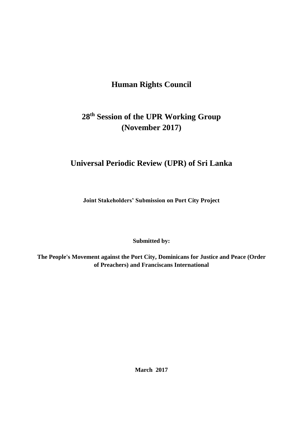# **Human Rights Council**

# **28th Session of the UPR Working Group (November 2017)**

# **Universal Periodic Review (UPR) of Sri Lanka**

**Joint Stakeholders' Submission on Port City Project**

**Submitted by:**

**The People's Movement against the Port City, Dominicans for Justice and Peace (Order of Preachers) and Franciscans International**

**March 2017**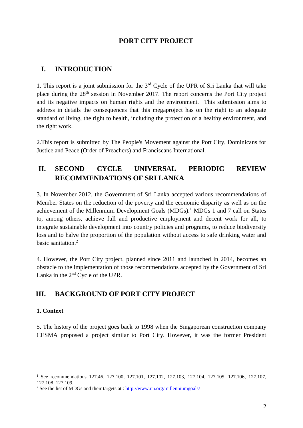# **PORT CITY PROJECT**

# **I. INTRODUCTION**

1. This report is a joint submission for the  $3<sup>rd</sup>$  Cycle of the UPR of Sri Lanka that will take place during the 28th session in November 2017. The report concerns the Port City project and its negative impacts on human rights and the environment. This submission aims to address in details the consequences that this megaproject has on the right to an adequate standard of living, the right to health, including the protection of a healthy environment, and the right work.

2.This report is submitted by The People's Movement against the Port City, Dominicans for Justice and Peace (Order of Preachers) and Franciscans International.

# **II. SECOND CYCLE UNIVERSAL PERIODIC REVIEW RECOMMENDATIONS OF SRI LANKA**

3. In November 2012, the Government of Sri Lanka accepted various recommendations of Member States on the reduction of the poverty and the economic disparity as well as on the achievement of the Millennium Development Goals (MDGs). <sup>1</sup> MDGs 1 and 7 call on States to, among others, achieve full and productive employment and decent work for all, to integrate sustainable development into country policies and programs, to reduce biodiversity loss and to halve the proportion of the population without access to safe drinking water and basic sanitation.<sup>2</sup>

4. However, the Port City project, planned since 2011 and launched in 2014, becomes an obstacle to the implementation of those recommendations accepted by the Government of Sri Lanka in the 2nd Cycle of the UPR.

# **III. BACKGROUND OF PORT CITY PROJECT**

#### **1. Context**

1

5. The history of the project goes back to 1998 when the Singaporean construction company CESMA proposed a project similar to Port City. However, it was the former President

<sup>&</sup>lt;sup>1</sup> See recommendations 127.46, 127.100, 127.101, 127.102, 127.103, 127.104, 127.105, 127.106, 127.107, 127.108, 127.109.

<sup>&</sup>lt;sup>2</sup> See the list of MDGs and their targets at :  $\frac{http://www.un.org/millenniumgoals/$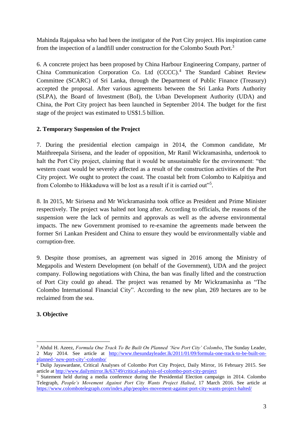Mahinda Rajapaksa who had been the instigator of the Port City project. His inspiration came from the inspection of a landfill under construction for the Colombo South Port.<sup>3</sup>

6. A concrete project has been proposed by China Harbour Engineering Company, partner of China Communication Corporation Co. Ltd (CCCC).<sup>4</sup> The Standard Cabinet Review Committee (SCARC) of Sri Lanka, through the Department of Public Finance (Treasury) accepted the proposal. After various agreements between the Sri Lanka Ports Authority (SLPA), the Board of Investment (BoI), the Urban Development Authority (UDA) and China, the Port City project has been launched in September 2014. The budget for the first stage of the project was estimated to US\$1.5 billion.

## **2. Temporary Suspension of the Project**

7. During the presidential election campaign in 2014, the Common candidate, Mr Maithreepala Sirisena, and the leader of opposition, Mr Ranil Wickramasinha, undertook to halt the Port City project, claiming that it would be unsustainable for the environment: "the western coast would be severely affected as a result of the construction activities of the Port City project. We ought to protect the coast. The coastal belt from Colombo to Kalpitiya and from Colombo to Hikkaduwa will be lost as a result if it is carried out"<sup>5</sup>.

8. In 2015, Mr Sirisena and Mr Wickramasinha took office as President and Prime Minister respectively. The project was halted not long after. According to officials, the reasons of the suspension were the lack of permits and approvals as well as the adverse environmental impacts. The new Government promised to re-examine the agreements made between the former Sri Lankan President and China to ensure they would be environmentally viable and corruption-free.

9. Despite those promises, an agreement was signed in 2016 among the Ministry of Megapolis and Western Development (on behalf of the Government), UDA and the project company. Following negotiations with China, the ban was finally lifted and the construction of Port City could go ahead. The project was renamed by Mr Wickramasinha as "The Colombo International Financial City". According to the new plan, 269 hectares are to be reclaimed from the sea.

# **3. Objective**

<u>.</u>

<sup>3</sup> Abdul H. Azeez, *Formula One Track To Be Built On Planned 'New Port City' Colombo*, The Sunday Leader, 2 May 2014. See article at [http://www.thesundayleader.lk/2011/01/09/formula-one-track-to-be-built-on](http://www.thesundayleader.lk/2011/01/09/formula-one-track-to-be-built-on-planned-)[planned-'new-port-city'-colombo/](http://www.thesundayleader.lk/2011/01/09/formula-one-track-to-be-built-on-planned-)

<sup>&</sup>lt;sup>4</sup> Dulip Jayawardane, Critical Analyses of Colombo Port City Project, Daily Mirror, 16 February 2015. See article at<http://www.dailymirror.lk/63749/critical-analysis-of-colombo-port-city-project>

<sup>5</sup> Statement held during a media conference during the Presidential Election campaign in 2014. Colombo Telegraph, *People's Movement Against Port City Wants Project Halted*, 17 March 2016. See article at <https://www.colombotelegraph.com/index.php/peoples-movement-against-port-city-wants-project-halted/>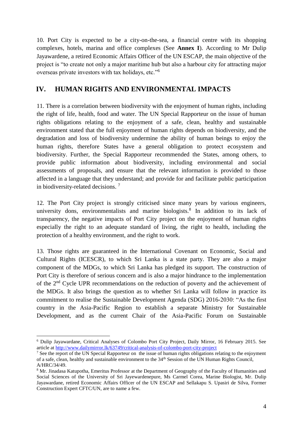10. Port City is expected to be a city-on-the-sea, a financial centre with its shopping complexes, hotels, marina and office complexes (See **Annex I**). According to Mr Dulip Jayawardene, a retired Economic Affairs Officer of the UN ESCAP, the main objective of the project is "to create not only a major maritime hub but also a harbour city for attracting major overseas private investors with tax holidays, etc."<sup>6</sup>

# **IV. HUMAN RIGHTS AND ENVIRONMENTAL IMPACTS**

11. There is a correlation between biodiversity with the enjoyment of human rights, including the right of life, health, food and water. The UN Special Rapporteur on the issue of human rights obligations relating to the enjoyment of a safe, clean, healthy and sustainable environment stated that the full enjoyment of human rights depends on biodiversity, and the degradation and loss of biodiversity undermine the ability of human beings to enjoy the human rights, therefore States have a general obligation to protect ecosystem and biodiversity. Further, the Special Rapporteur recommended the States, among others, to provide public information about biodiversity, including environmental and social assessments of proposals, and ensure that the relevant information is provided to those affected in a language that they understand; and provide for and facilitate public participation in biodiversity-related decisions.<sup>7</sup>

12. The Port City project is strongly criticised since many years by various engineers, university dons, environmentalists and marine biologists.<sup>8</sup> In addition to its lack of transparency, the negative impacts of Port City project on the enjoyment of human rights especially the right to an adequate standard of living, the right to health, including the protection of a healthy environment, and the right to work.

13. Those rights are guaranteed in the International Covenant on Economic, Social and Cultural Rights (ICESCR), to which Sri Lanka is a state party. They are also a major component of the MDGs, to which Sri Lanka has pledged its support. The construction of Port City is therefore of serious concern and is also a major hindrance to the implementation of the 2nd Cycle UPR recommendations on the reduction of poverty and the achievement of the MDGs. It also brings the question as to whether Sri Lanka will follow in practice its commitment to realise the Sustainable Development Agenda (SDG) 2016-2030: "As the first country in the Asia-Pacific Region to establish a separate Ministry for Sustainable Development, and as the current Chair of the Asia-Pacific Forum on Sustainable

1

<sup>6</sup> Dulip Jayawardane, Critical Analyses of Colombo Port City Project, Daily Mirror, 16 February 2015. See article at<http://www.dailymirror.lk/63749/critical-analysis-of-colombo-port-city-project>

<sup>&</sup>lt;sup>7</sup> See the report of the UN Special Rapporteur on the issue of human rights obligations relating to the enjoyment of a safe, clean, healthy and sustainable environment to the 34<sup>th</sup> Session of the UN Human Rights Council, A/HRC/34/49.

<sup>8</sup> Mr. Jinadasa Katupotha, Emeritus Professor at the Department of Geography of the Faculty of Humanities and Social Sciences of the University of Sri Jayewardenepure, Ms Carmel Corea, Marine Biologist, Mr. Dulip Jayawardane, retired Economic Affairs Officer of the UN ESCAP and Sellakapu S. Upasiri de Silva, Former Construction Expert CFTC/UN, are to name a few.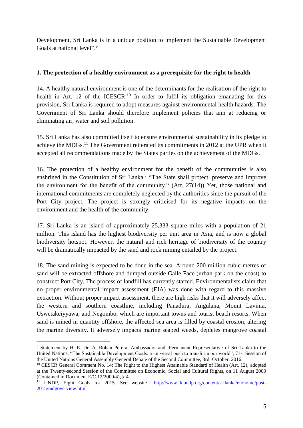Development, Sri Lanka is in a unique position to implement the Sustainable Development Goals at national level".<sup>9</sup>

### **1. The protection of a healthy environment as a prerequisite for the right to health**

14. A healthy natural environment is one of the determinants for the realisation of the right to health in Art. 12 of the ICESCR.<sup>10</sup> In order to fulfil its obligation emanating for this provision, Sri Lanka is required to adopt measures against environmental health hazards. The Government of Sri Lanka should therefore implement policies that aim at reducing or eliminating air, water and soil pollution.

15. Sri Lanka has also committed itself to ensure environmental sustainability in its pledge to achieve the MDGs.<sup>11</sup> The Government reiterated its commitments in 2012 at the UPR when it accepted all recommendations made by the States parties on the achievement of the MDGs.

16. The protection of a healthy environment for the benefit of the communities is also enshrined in the Constitution of Sri Lanka : "The State shall protect, preserve and improve the environment for the benefit of the community." (Art. 27(14)) Yet, those national and international commitments are completely neglected by the authorities since the pursuit of the Port City project. The project is strongly criticised for its negative impacts on the environment and the health of the community.

17. Sri Lanka is an island of approximately 25,333 square miles with a population of 21 million. This island has the highest biodiversity per unit area in Asia, and is now a global biodiversity hotspot. However, the natural and rich heritage of biodiversity of the country will be dramatically impacted by the sand and rock mining entailed by the project.

18. The sand mining is expected to be done in the sea. Around 200 million cubic metres of sand will be extracted offshore and dumped outside Galle Face (urban park on the coast) to construct Port City. The process of landfill has currently started. Environmentalists claim that no proper environmental impact assessment (EIA) was done with regard to this massive extraction. Without proper impact assessment, there are high risks that it will adversely affect the western and southern coastline, including Panadura, Angulana, Mount Lavinia, Uswetakeiyyawa, and Negombo, which are important towns and tourist beach resorts. When sand is mined in quantity offshore, the affected sea area is filled by coastal erosion, altering the marine diversity. It adversely impacts marine seabed weeds, depletes mangrove coastal

<sup>&</sup>lt;u>.</u> <sup>9</sup> Statement by H. E. Dr. A. Rohan Perera, Ambassador and Permanent Representative of Sri Lanka to the United Nations, "The Sustainable Development Goals: a universal push to transform our world", 71st Session of the United Nations General Assembly General Debate of the Second Committee, 3rd October, 2016.

<sup>&</sup>lt;sup>10</sup> CESCR General Comment No. 14: The Right to the Highest Attainable Standard of Health (Art. 12), adopted at the Twenty-second Session of the Committee on Economic, Social and Cultural Rights, on 11 August 2000 (Contained in Document E/C.12/2000/4), § 4.

<sup>&</sup>lt;sup>11</sup> UNDP, Eight Goals for 2015. See website : [http://www.lk.undp.org/content/srilanka/en/home/post-](http://www.lk.undp.org/content/srilanka/en/home/post-2015/mdgoverview.html)[2015/mdgoverview.html](http://www.lk.undp.org/content/srilanka/en/home/post-2015/mdgoverview.html)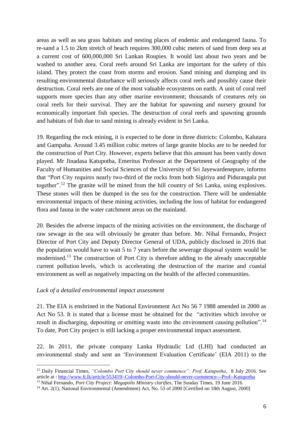areas as well as sea grass habitats and nesting places of endemic and endangered fauna. To re-sand a 1.5 to 2km stretch of beach requires 300,000 cubic meters of sand from deep sea at a current cost of 600,000,000 Sri Lankan Roupies. It would last about two years and be washed to another area. Coral reefs around Sri Lanka are important for the safety of this island. They protect the coast from storms and erosion. Sand mining and dumping and its resulting environmental disturbance will seriously affects coral reefs and possibly cause their destruction. Coral reefs are one of the most valuable ecosystems on earth. A unit of coral reef supports more species than any other marine environment; thousands of creatures rely on coral reefs for their survival. They are the habitat for spawning and nursery ground for economically important fish species. The destruction of coral reefs and spawning grounds and habitats of fish due to sand mining is already evident in Sri Lanka.

19. Regarding the rock mining, it is expected to be done in three districts: Colombo, Kalutara and Gampaha. Around 3.45 million cubic metres of large granite blocks are to be needed for the construction of Port City. However, experts believe that this amount has been vastly down played. Mr Jinadasa Katupotha, Emeritus Professor at the Department of Geography of the Faculty of Humanities and Social Sciences of the University of Sri Jayewardenepure, informs that "Port City requires nearly two-third of the rocks from both Sigiriya and Pidurangala put together".<sup>12</sup> The granite will be mined from the hill country of Sri Lanka, using explosives. These stones will then be dumped in the sea for the construction. There will be undeniable environmental impacts of these mining activities, including the loss of habitat for endangered flora and fauna in the water catchment areas on the mainland.

20. Besides the adverse impacts of the mining activities on the environment, the discharge of raw sewage in the sea will obviously be greater than before. Mr. Nihal Fernando, Project Director of Port City and Deputy Director General of UDA, publicly disclosed in 2016 that the population would have to wait 5 to 7 years before the sewerage disposal system would be modernised.<sup>13</sup> The construction of Port City is therefore adding to the already unacceptable current pollution levels, which is accelerating the destruction of the marine and coastal environment as well as negatively impacting on the health of the affected communities.

#### *Lack of a detailed environmental impact assessment*

<u>.</u>

21. The EIA is enshrined in the National Environment Act No 56 7 1988 amended in 2000 as Act No 53. It is stated that a license must be obtained for the "activities which involve or result in discharging, depositing or emitting waste into the environment causing pollution".<sup>14</sup> To date, Port City project is still lacking a proper environmental impact assessment.

22. In 2011, the private company Lanka Hydraulic Ltd (LHI) had conducted an environmental study and sent an 'Environment Evaluation Certificate' (EIA 2011) to the

<sup>&</sup>lt;sup>12</sup> Daily Financial Times, "Colombo Port City should never commence": Prof. Katupotha, 8 July 2016. See article at :<http://www.ft.lk/article/553419/-Colombo-Port-City-should-never-commence---Prof--Katupotha>

<sup>&</sup>lt;sup>13</sup> Nihal Fernando, *Port City Project: Megapolis Ministry clarifies*, The Sunday Times, 19 June 2016.

<sup>&</sup>lt;sup>14</sup> Art. 2(1), National Environmental (Amendment) Act, No. 53 of 2000 [Certified on 18th August, 2000]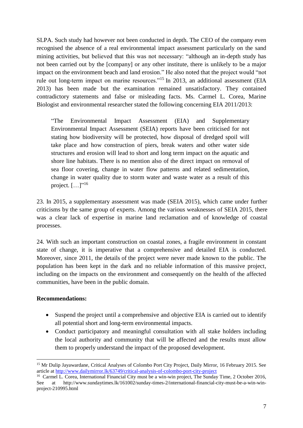SLPA. Such study had however not been conducted in depth. The CEO of the company even recognised the absence of a real environmental impact assessment particularly on the sand mining activities, but believed that this was not necessary: "although an in-depth study has not been carried out by the [company] or any other institute, there is unlikely to be a major impact on the environment beach and land erosion." He also noted that the project would "not rule out long-term impact on marine resources."<sup>15</sup> In 2013, an additional assessment (EIA 2013) has been made but the examination remained unsatisfactory. They contained contradictory statements and false or misleading facts. Ms. Carmel L. Corea, Marine Biologist and environmental researcher stated the following concerning EIA 2011/2013:

"The Environmental Impact Assessment (EIA) and Supplementary Environmental Impact Assessment (SEIA) reports have been criticised for not stating how biodiversity will be protected, how disposal of dredged spoil will take place and how construction of piers, break waters and other water side structures and erosion will lead to short and long term impact on the aquatic and shore line habitats. There is no mention also of the direct impact on removal of sea floor covering, change in water flow patterns and related sedimentation, change in water quality due to storm water and waste water as a result of this project.  $[...]$ "<sup>16</sup>

23. In 2015, a supplementary assessment was made (SEIA 2015), which came under further criticisms by the same group of experts. Among the various weaknesses of SEIA 2015, there was a clear lack of expertise in marine land reclamation and of knowledge of coastal processes.

24. With such an important construction on coastal zones, a fragile environment in constant state of change, it is imperative that a comprehensive and detailed EIA is conducted. Moreover, since 2011, the details of the project were never made known to the public. The population has been kept in the dark and no reliable information of this massive project, including on the impacts on the environment and consequently on the health of the affected communities, have been in the public domain.

### **Recommendations:**

1

- Suspend the project until a comprehensive and objective EIA is carried out to identify all potential short and long-term environmental impacts.
- Conduct participatory and meaningful consultation with all stake holders including the local authority and community that will be affected and the results must allow them to properly understand the impact of the proposed development.

<sup>15</sup> Mr Dulip Jayawardane, Critical Analyses of Colombo Port City Project, Daily Mirror, 16 February 2015. See article at<http://www.dailymirror.lk/63749/critical-analysis-of-colombo-port-city-project>

<sup>&</sup>lt;sup>16</sup> Carmel L. Corea, International Financial City must be a win-win project, The Sunday Time, 2 October 2016, See at http://www.sundaytimes.lk/161002/sunday-times-2/international-financial-city-must-be-a-win-winproject-210995.html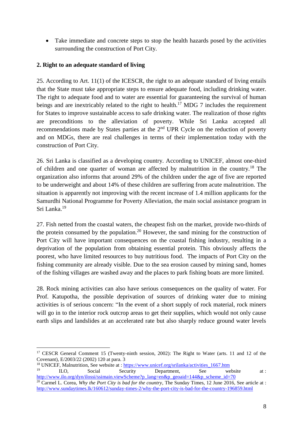Take immediate and concrete steps to stop the health hazards posed by the activities surrounding the construction of Port City.

## **2. Right to an adequate standard of living**

1

25. According to Art. 11(1) of the ICESCR, the right to an adequate standard of living entails that the State must take appropriate steps to ensure adequate food, including drinking water. The right to adequate food and to water are essential for guaranteeing the survival of human beings and are inextricably related to the right to health.<sup>17</sup> MDG 7 includes the requirement for States to improve sustainable access to safe drinking water. The realization of those rights are preconditions to the alleviation of poverty. While Sri Lanka accepted all recommendations made by States parties at the 2nd UPR Cycle on the reduction of poverty and on MDGs, there are real challenges in terms of their implementation today with the construction of Port City.

26. Sri Lanka is classified as a developing country. According to UNICEF, almost one-third of children and one quarter of woman are affected by malnutrition in the country.<sup>18</sup> The organization also informs that around 29% of the children under the age of five are reported to be underweight and about 14% of these children are suffering from acute malnutrition. The situation is apparently not improving with the recent increase of 1.4 million applicants for the Samurdhi National Programme for Poverty Alleviation, the main social assistance program in Sri Lanka.<sup>19</sup>

27. Fish netted from the coastal waters, the cheapest fish on the market, provide two-thirds of the protein consumed by the population.<sup>20</sup> However, the sand mining for the construction of Port City will have important consequences on the coastal fishing industry, resulting in a deprivation of the population from obtaining essential protein. This obviously affects the poorest, who have limited resources to buy nutritious food. The impacts of Port City on the fishing community are already visible. Due to the sea erosion caused by mining sand, homes of the fishing villages are washed away and the places to park fishing boats are more limited.

28. Rock mining activities can also have serious consequences on the quality of water. For Prof. Katupotha, the possible deprivation of sources of drinking water due to mining activities is of serious concern: "In the event of a short supply of rock material, rock miners will go in to the interior rock outcrop areas to get their supplies, which would not only cause earth slips and landslides at an accelerated rate but also sharply reduce ground water levels

<sup>18</sup> UNICEF, Malnutrition, See website at :  $\frac{https://www.uniceforgysrilanka/activities_1667.htm}{\text{Sociel}}$ <sup>19</sup> ILO, Social Security Department, See website at : [http://www.ilo.org/dyn/ilossi/ssimain.viewScheme?p\\_lang=en&p\\_geoaid=144&p\\_scheme\\_id=70](http://www.ilo.org/dyn/ilossi/ssimain.viewScheme?p_lang=en&p_geoaid=144&p_scheme_id=70)

<sup>&</sup>lt;sup>17</sup> CESCR General Comment 15 (Twenty-ninth session, 2002): The Right to Water (arts. 11 and 12 of the Covenant), E/2003/22 (2002) 120 at para. 3

<sup>&</sup>lt;sup>20</sup> Carmel L. Corea, *Why the Port City is bad for the country*, The Sunday Times, 12 June 2016, See article at : <http://www.sundaytimes.lk/160612/sunday-times-2/why-the-port-city-is-bad-for-the-country-196859.html>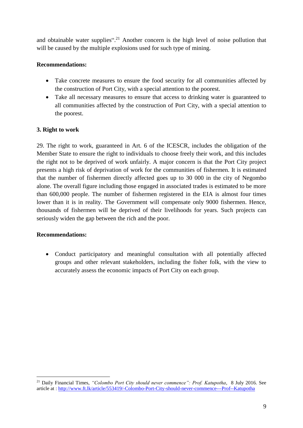and obtainable water supplies".<sup>21</sup> Another concern is the high level of noise pollution that will be caused by the multiple explosions used for such type of mining.

## **Recommendations:**

- Take concrete measures to ensure the food security for all communities affected by the construction of Port City, with a special attention to the poorest.
- Take all necessary measures to ensure that access to drinking water is guaranteed to all communities affected by the construction of Port City, with a special attention to the poorest.

## **3. Right to work**

29. The right to work, guaranteed in Art. 6 of the ICESCR, includes the obligation of the Member State to ensure the right to individuals to choose freely their work, and this includes the right not to be deprived of work unfairly. A major concern is that the Port City project presents a high risk of deprivation of work for the communities of fishermen. It is estimated that the number of fishermen directly affected goes up to 30 000 in the city of Negombo alone. The overall figure including those engaged in associated trades is estimated to be more than 600,000 people. The number of fishermen registered in the EIA is almost four times lower than it is in reality. The Government will compensate only 9000 fishermen. Hence, thousands of fishermen will be deprived of their livelihoods for years. Such projects can seriously widen the gap between the rich and the poor.

### **Recommendations:**

1

 Conduct participatory and meaningful consultation with all potentially affected groups and other relevant stakeholders, including the fisher folk, with the view to accurately assess the economic impacts of Port City on each group.

<sup>21</sup> Daily Financial Times, *"Colombo Port City should never commence": Prof. Katupotha*, 8 July 2016. See article at :<http://www.ft.lk/article/553419/-Colombo-Port-City-should-never-commence---Prof--Katupotha>